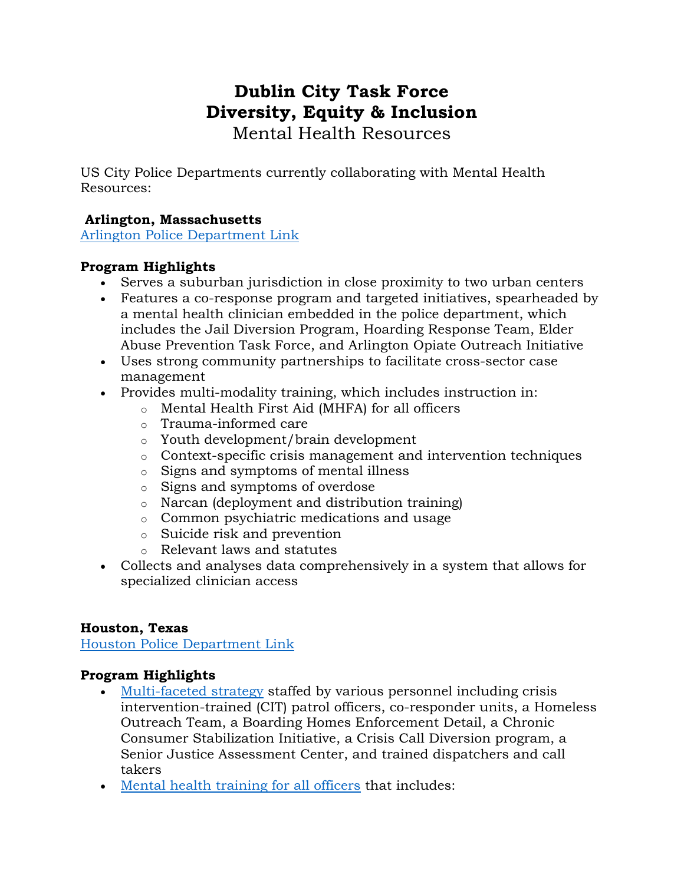# **Dublin City Task Force Diversity, Equity & Inclusion**

Mental Health Resources

US City Police Departments currently collaborating with Mental Health Resources:

# **Arlington, Massachusetts**

[Arlington Police Department Link](https://csgjusticecenter.org/projects/police-mental-health-collaboration-pmhc/law-enforcement-mental-health-learning-sites/arlington-police-department/)

# **Program Highlights**

- Serves a suburban jurisdiction in close proximity to two urban centers
- Features a co-response program and targeted initiatives, spearheaded by a mental health clinician embedded in the police department, which includes the Jail Diversion Program, Hoarding Response Team, Elder Abuse Prevention Task Force, and Arlington Opiate Outreach Initiative
- Uses strong community partnerships to facilitate cross-sector case management
- Provides multi-modality training, which includes instruction in:
	- o Mental Health First Aid (MHFA) for all officers
	- o Trauma-informed care
	- o Youth development/brain development
	- o Context-specific crisis management and intervention techniques
	- o Signs and symptoms of mental illness
	- o Signs and symptoms of overdose
	- o Narcan (deployment and distribution training)
	- o Common psychiatric medications and usage
	- o Suicide risk and prevention
	- o Relevant laws and statutes
- Collects and analyses data comprehensively in a system that allows for specialized clinician access

# **Houston, Texas**

[Houston Police Department](https://csgjusticecenter.org/projects/police-mental-health-collaboration-pmhc/law-enforcement-mental-health-learning-sites/houston-police-department/) Link

# **Program Highlights**

- [Multi-faceted strategy](https://stepuptogether.org/people/frank-webb) staffed by various personnel including crisis intervention-trained (CIT) patrol officers, co-responder units, a Homeless Outreach Team, a Boarding Homes Enforcement Detail, a Chronic Consumer Stabilization Initiative, a Crisis Call Diversion program, a Senior Justice Assessment Center, and trained dispatchers and call takers
- [Mental health training for all officers](https://stepuptogether.org/people/apache-junction-police-department) that includes: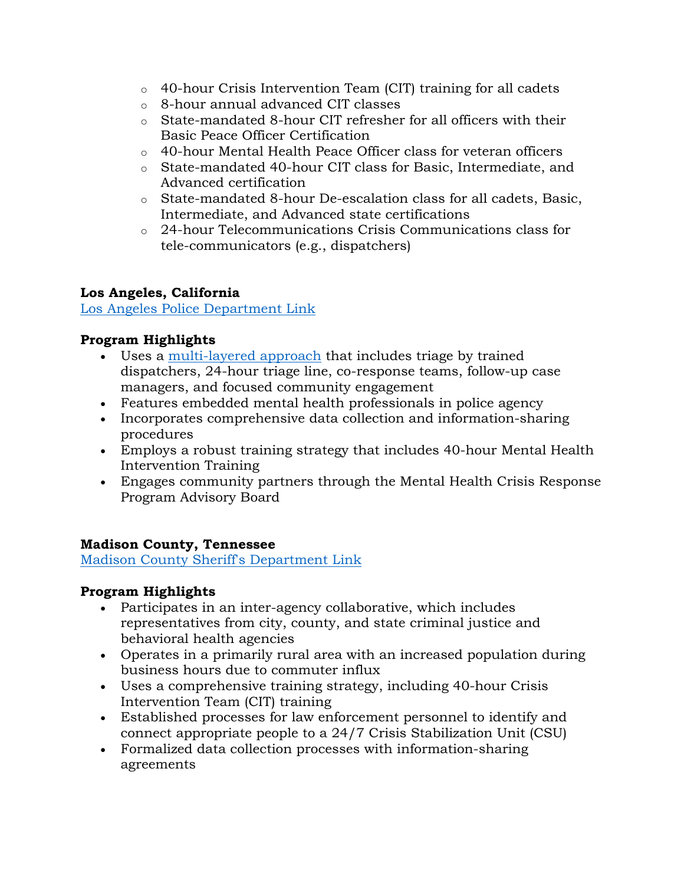- o 40-hour Crisis Intervention Team (CIT) training for all cadets
- o 8-hour annual advanced CIT classes
- o State-mandated 8-hour CIT refresher for all officers with their Basic Peace Officer Certification
- o 40-hour Mental Health Peace Officer class for veteran officers
- o State-mandated 40-hour CIT class for Basic, Intermediate, and Advanced certification
- o State-mandated 8-hour De-escalation class for all cadets, Basic, Intermediate, and Advanced state certifications
- o 24-hour Telecommunications Crisis Communications class for tele-communicators (e.g., dispatchers)

# **Los Angeles, California**

[Los Angeles Police Department Link](https://csgjusticecenter.org/projects/police-mental-health-collaboration-pmhc/law-enforcement-mental-health-learning-sites/los-angeles-police-department/)

# **Program Highlights**

- Uses a [multi-layered approach](https://stepuptogether.org/people/lt-lionel-garcia) that includes triage by trained dispatchers, 24-hour triage line, co-response teams, follow-up case managers, and focused community engagement
- Features embedded mental health professionals in police agency
- Incorporates comprehensive data collection and information-sharing procedures
- Employs a robust training strategy that includes 40-hour Mental Health Intervention Training
- Engages community partners through the Mental Health Crisis Response Program Advisory Board

# **Madison County, Tennessee**

[Madison County Sheriff's Department Link](https://csgjusticecenter.org/projects/police-mental-health-collaboration-pmhc/law-enforcement-mental-health-learning-sites/madison-county-sheriffs/)

# **Program Highlights**

- Participates in an inter-agency collaborative, which includes representatives from city, county, and state criminal justice and behavioral health agencies
- Operates in a primarily rural area with an increased population during business hours due to commuter influx
- Uses a comprehensive training strategy, including 40-hour Crisis Intervention Team (CIT) training
- Established processes for law enforcement personnel to identify and connect appropriate people to a 24/7 Crisis Stabilization Unit (CSU)
- Formalized data collection processes with information-sharing agreements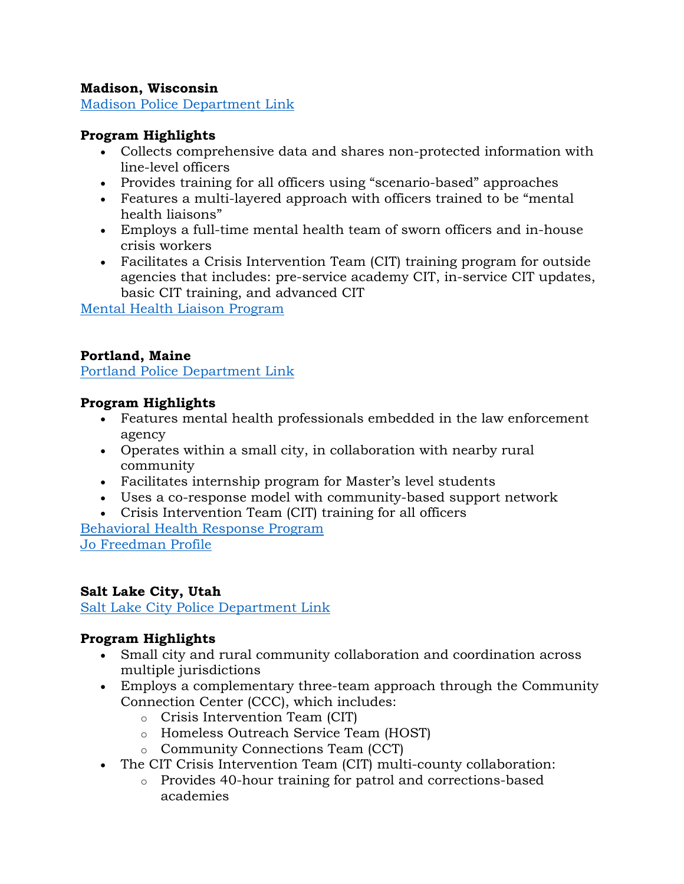### **Madison, Wisconsin**

[Madison Police Department Link](https://csgjusticecenter.org/projects/police-mental-health-collaboration-pmhc/law-enforcement-mental-health-learning-sites/madison-police-department/)

# **Program Highlights**

- Collects comprehensive data and shares non-protected information with line-level officers
- Provides training for all officers using "scenario-based" approaches
- Features a multi-layered approach with officers trained to be "mental health liaisons"
- Employs a full-time mental health team of sworn officers and in-house crisis workers
- Facilitates a Crisis Intervention Team (CIT) training program for outside agencies that includes: pre-service academy CIT, in-service CIT updates, basic CIT training, and advanced CIT

[Mental Health Liaison Program](http://www.cityofmadison.com/police/community/mentalhealth/)

### **Portland, Maine**

[Portland Police Department Link](https://csgjusticecenter.org/projects/police-mental-health-collaboration-pmhc/law-enforcement-mental-health-learning-sites/portland-police-dept/)

### **Program Highlights**

- Features mental health professionals embedded in the law enforcement agency
- Operates within a small city, in collaboration with nearby rural community
- Facilitates internship program for Master's level students
- Uses a co-response model with community-based support network
- Crisis Intervention Team (CIT) training for all officers

[Behavioral Health Response Program](http://portlandmaine.gov/1150/Behavioral-Health-Response-Program) [Jo Freedman Profile](https://stepuptogether.org/people/jo-freedman-2)

### **Salt Lake City, Utah**

[Salt Lake City Police Department Link](https://csgjusticecenter.org/projects/police-mental-health-collaboration-pmhc/law-enforcement-mental-health-learning-sites/salt-lake-city-police-department/)

# **Program Highlights**

- Small city and rural community collaboration and coordination across multiple jurisdictions
- Employs a complementary three-team approach through the Community Connection Center (CCC), which includes:
	- o Crisis Intervention Team (CIT)
	- o Homeless Outreach Service Team (HOST)
	- o Community Connections Team (CCT)
- The CIT Crisis Intervention Team (CIT) multi-county collaboration:
	- o Provides 40-hour training for patrol and corrections-based academies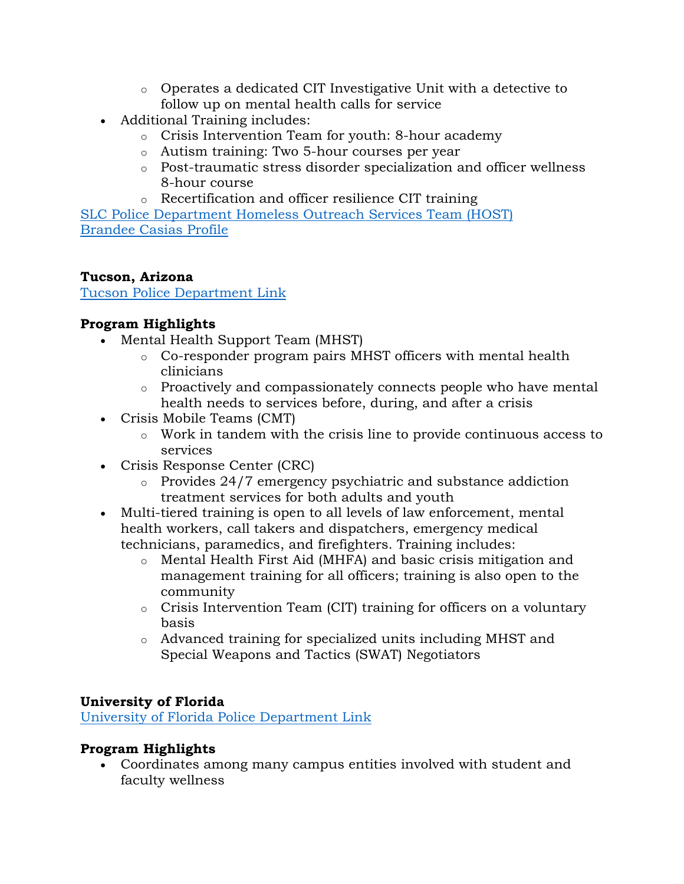- o Operates a dedicated CIT Investigative Unit with a detective to follow up on mental health calls for service
- Additional Training includes:
	- o Crisis Intervention Team for youth: 8-hour academy
	- o Autism training: Two 5-hour courses per year
	- o Post-traumatic stress disorder specialization and officer wellness 8-hour course
	- o Recertification and officer resilience CIT training

[SLC Police Department Homeless Outreach Services Team \(HOST\)](https://www.slchost.org/) [Brandee Casias Profile](https://stepuptogether.org/people/brandee-casias)

# **Tucson, Arizona**

[Tucson Police Department Link](https://csgjusticecenter.org/projects/police-mental-health-collaboration-pmhc/law-enforcement-mental-health-learning-sites/tucson-police-department/)

# **Program Highlights**

- Mental Health Support Team (MHST)
	- o Co-responder program pairs MHST officers with mental health clinicians
	- o Proactively and compassionately connects people who have mental health needs to services before, during, and after a crisis
- Crisis Mobile Teams (CMT)
	- o Work in tandem with the crisis line to provide continuous access to services
- Crisis Response Center (CRC)
	- o Provides 24/7 emergency psychiatric and substance addiction treatment services for both adults and youth
- Multi-tiered training is open to all levels of law enforcement, mental health workers, call takers and dispatchers, emergency medical technicians, paramedics, and firefighters. Training includes:
	- o Mental Health First Aid (MHFA) and basic crisis mitigation and management training for all officers; training is also open to the community
	- o Crisis Intervention Team (CIT) training for officers on a voluntary basis
	- o Advanced training for specialized units including MHST and Special Weapons and Tactics (SWAT) Negotiators

# **University of Florida**

[University of Florida Police Department Link](https://csgjusticecenter.org/projects/police-mental-health-collaboration-pmhc/law-enforcement-mental-health-learning-sites/univ-of-fl-police-dept/)

# **Program Highlights**

• Coordinates among many campus entities involved with student and faculty wellness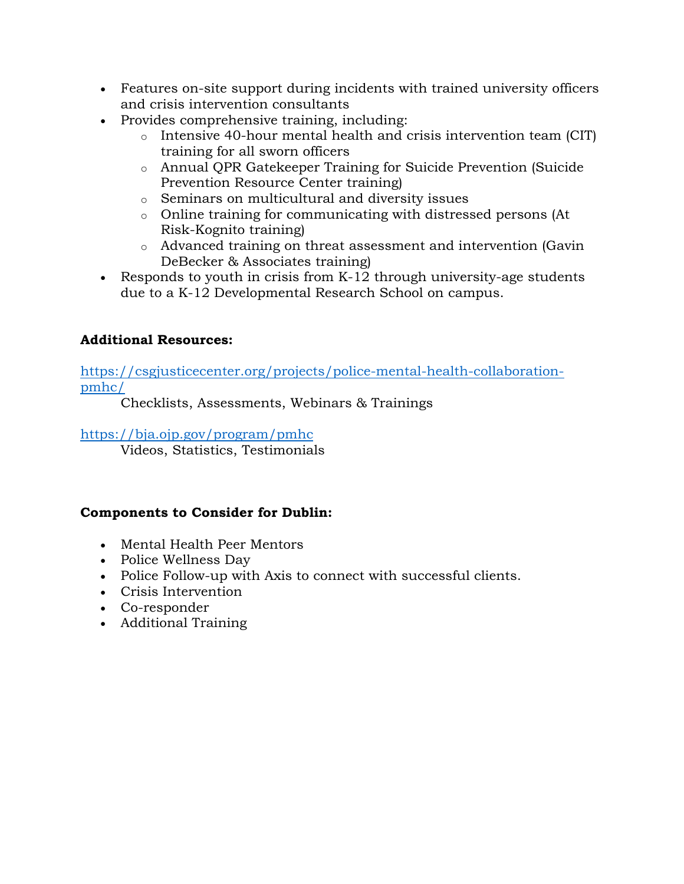- Features on-site support during incidents with trained university officers and crisis intervention consultants
- Provides comprehensive training, including:
	- $\circ$  Intensive 40-hour mental health and crisis intervention team (CIT) training for all sworn officers
	- o Annual QPR Gatekeeper Training for Suicide Prevention (Suicide Prevention Resource Center training)
	- o Seminars on multicultural and diversity issues
	- o Online training for communicating with distressed persons (At Risk-Kognito training)
	- o Advanced training on threat assessment and intervention (Gavin DeBecker & Associates training)
- Responds to youth in crisis from K-12 through university-age students due to a K-12 Developmental Research School on campus.

# **Additional Resources:**

[https://csgjusticecenter.org/projects/police-mental-health-collaboration](https://csgjusticecenter.org/projects/police-mental-health-collaboration-pmhc/)[pmhc/](https://csgjusticecenter.org/projects/police-mental-health-collaboration-pmhc/)

Checklists, Assessments, Webinars & Trainings

### <https://bja.ojp.gov/program/pmhc>

Videos, Statistics, Testimonials

# **Components to Consider for Dublin:**

- Mental Health Peer Mentors
- Police Wellness Day
- Police Follow-up with Axis to connect with successful clients.
- Crisis Intervention
- Co-responder
- Additional Training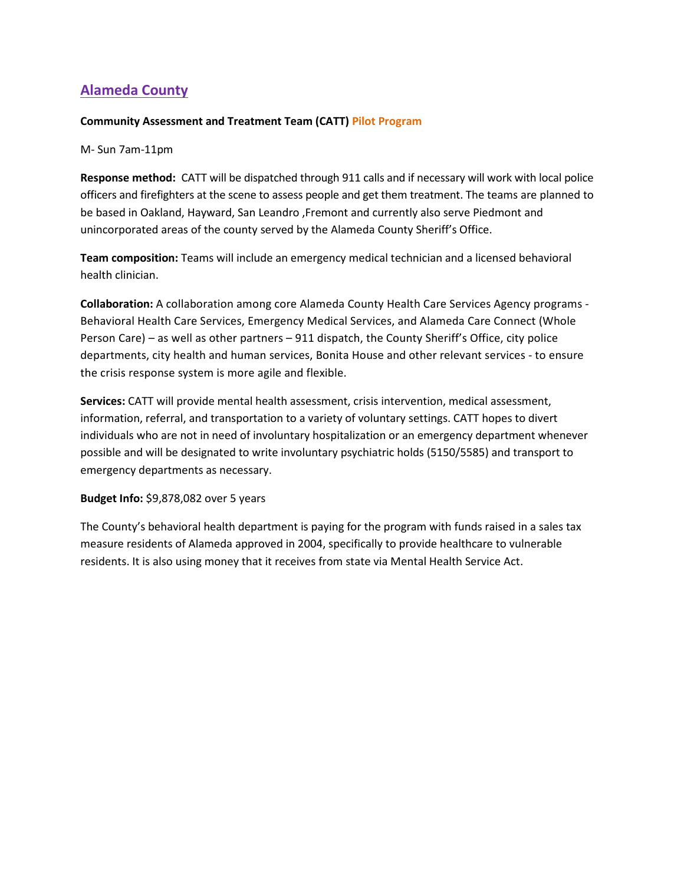# **Alameda County**

### **Community Assessment and Treatment Team (CATT) Pilot Program**

M- Sun 7am-11pm

**Response method:** CATT will be dispatched through 911 calls and if necessary will work with local police officers and firefighters at the scene to assess people and get them treatment. The teams are planned to be based in Oakland, Hayward, San Leandro ,Fremont and currently also serve Piedmont and unincorporated areas of the county served by the Alameda County Sheriff's Office.

**Team composition:** Teams will include an emergency medical technician and a licensed behavioral health clinician.

**Collaboration:** A collaboration among core Alameda County Health Care Services Agency programs - Behavioral Health Care Services, Emergency Medical Services, and Alameda Care Connect (Whole Person Care) – as well as other partners – 911 dispatch, the County Sheriff's Office, city police departments, city health and human services, Bonita House and other relevant services - to ensure the crisis response system is more agile and flexible.

**Services:** CATT will provide mental health assessment, crisis intervention, medical assessment, information, referral, and transportation to a variety of voluntary settings. CATT hopes to divert individuals who are not in need of involuntary hospitalization or an emergency department whenever possible and will be designated to write involuntary psychiatric holds (5150/5585) and transport to emergency departments as necessary.

### **Budget Info:** \$9,878,082 over 5 years

The County's behavioral health department is paying for the program with funds raised in a sales tax measure residents of Alameda approved in 2004, specifically to provide healthcare to vulnerable residents. It is also using money that it receives from state via Mental Health Service Act.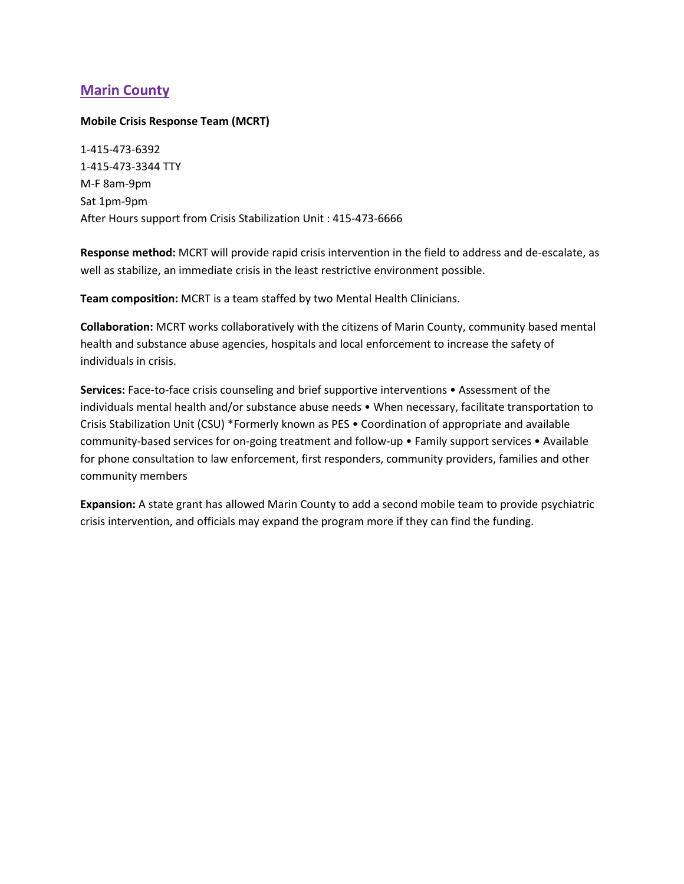# **Marin County**

### **Mobile Crisis Response Team (MCRT)**

1-415-473-6392 1-415-473-3344 TTY M-F 8am-9pm Sat 1pm-9pm After Hours support from Crisis Stabilization Unit : 415-473-6666

**Response method:** MCRT will provide rapid crisis intervention in the field to address and de-escalate, as well as stabilize, an immediate crisis in the least restrictive environment possible.

**Team composition:** MCRT is a team staffed by two Mental Health Clinicians.

**Collaboration:** MCRT works collaboratively with the citizens of Marin County, community based mental health and substance abuse agencies, hospitals and local enforcement to increase the safety of individuals in crisis.

**Services:** Face-to-face crisis counseling and brief supportive interventions • Assessment of the individuals mental health and/or substance abuse needs • When necessary, facilitate transportation to Crisis Stabilization Unit (CSU) \*Formerly known as PES • Coordination of appropriate and available community-based services for on-going treatment and follow-up • Family support services • Available for phone consultation to law enforcement, first responders, community providers, families and other community members

**Expansion:** A state grant has allowed Marin County to add a second mobile team to provide psychiatric crisis intervention, and officials may expand the program more if they can find the funding.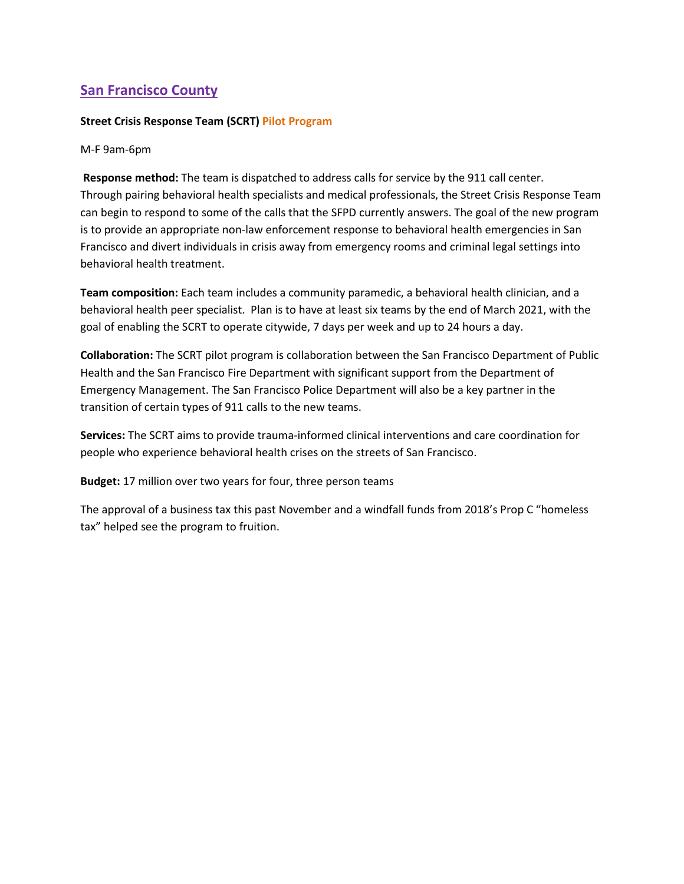# **San Francisco County**

#### **Street Crisis Response Team (SCRT) Pilot Program**

M-F 9am-6pm

**Response method:** The team is dispatched to address calls for service by the 911 call center. Through pairing behavioral health specialists and medical professionals, the Street Crisis Response Team can begin to respond to some of the calls that the SFPD currently answers. The goal of the new program is to provide an appropriate non-law enforcement response to behavioral health emergencies in San Francisco and divert individuals in crisis away from emergency rooms and criminal legal settings into behavioral health treatment.

**Team composition:** Each team includes a community paramedic, a behavioral health clinician, and a behavioral health peer specialist. Plan is to have at least six teams by the end of March 2021, with the goal of enabling the SCRT to operate citywide, 7 days per week and up to 24 hours a day.

**Collaboration:** The SCRT pilot program is collaboration between the San Francisco Department of Public Health and the San Francisco Fire Department with significant support from the Department of Emergency Management. The San Francisco Police Department will also be a key partner in the transition of certain types of 911 calls to the new teams.

**Services:** The SCRT aims to provide trauma-informed clinical interventions and care coordination for people who experience behavioral health crises on the streets of San Francisco.

**Budget:** 17 million over two years for four, three person teams

The approval of a business tax this past November and a windfall funds from 2018's Prop C "homeless tax" helped see the program to fruition.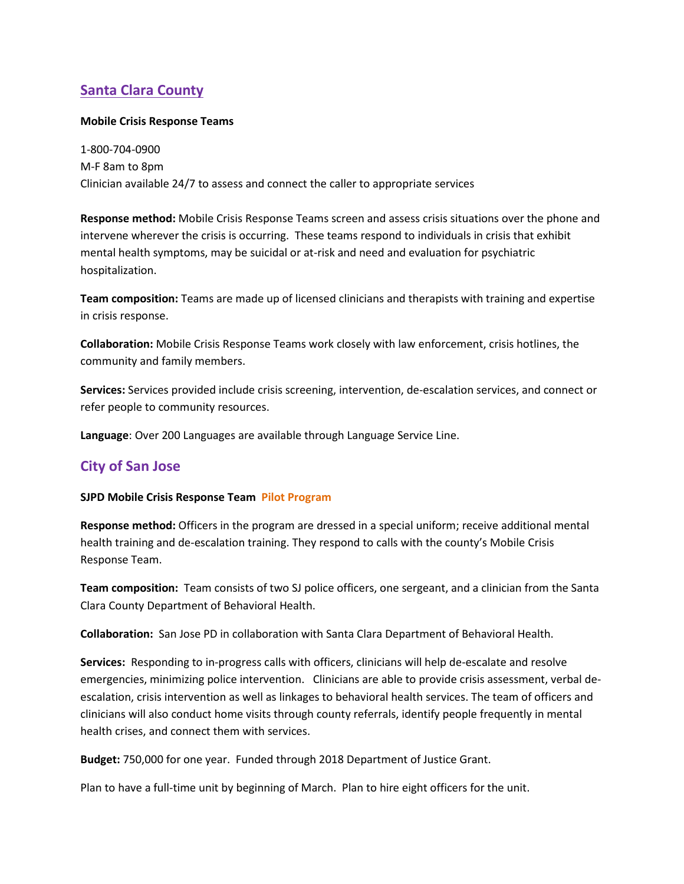# **Santa Clara County**

### **Mobile Crisis Response Teams**

1-800-704-0900 M-F 8am to 8pm Clinician available 24/7 to assess and connect the caller to appropriate services

**Response method:** Mobile Crisis Response Teams screen and assess crisis situations over the phone and intervene wherever the crisis is occurring. These teams respond to individuals in crisis that exhibit mental health symptoms, may be suicidal or at-risk and need and evaluation for psychiatric hospitalization.

**Team composition:** Teams are made up of licensed clinicians and therapists with training and expertise in crisis response.

**Collaboration:** Mobile Crisis Response Teams work closely with law enforcement, crisis hotlines, the community and family members.

**Services:** Services provided include crisis screening, intervention, de-escalation services, and connect or refer people to community resources.

**Language**: Over 200 Languages are available through Language Service Line.

# **City of San Jose**

### **SJPD Mobile Crisis Response Team Pilot Program**

**Response method:** Officers in the program are dressed in a special uniform; receive additional mental health training and de-escalation training. They respond to calls with the county's Mobile Crisis Response Team.

**Team composition:** Team consists of two SJ police officers, one sergeant, and a clinician from the Santa Clara County Department of Behavioral Health.

**Collaboration:** San Jose PD in collaboration with Santa Clara Department of Behavioral Health.

**Services:** Responding to in-progress calls with officers, clinicians will help de-escalate and resolve emergencies, minimizing police intervention. Clinicians are able to provide crisis assessment, verbal deescalation, crisis intervention as well as linkages to behavioral health services. The team of officers and clinicians will also conduct home visits through county referrals, identify people frequently in mental health crises, and connect them with services.

**Budget:** 750,000 for one year. Funded through 2018 Department of Justice Grant.

Plan to have a full-time unit by beginning of March. Plan to hire eight officers for the unit.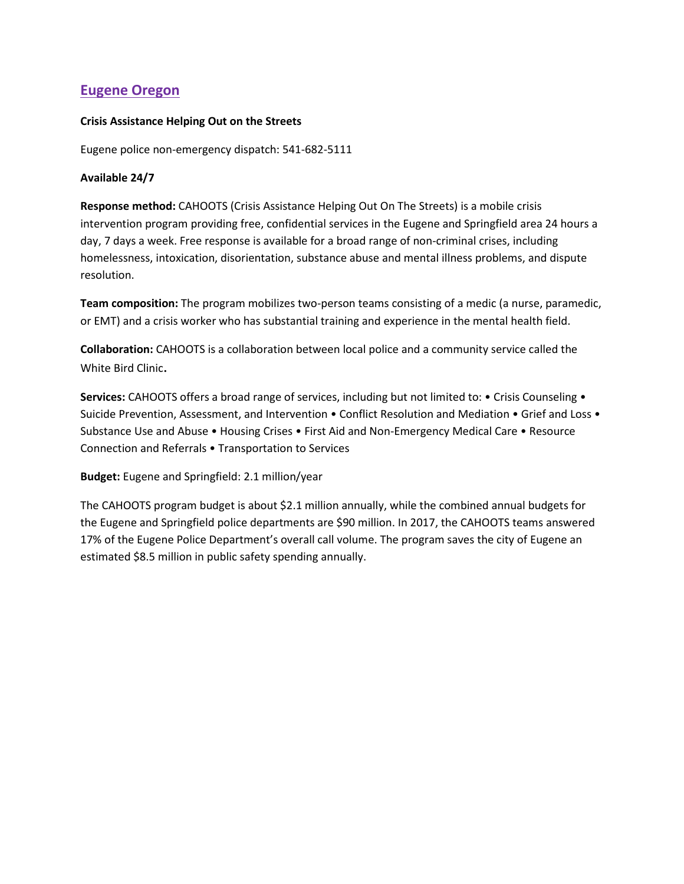# **Eugene Oregon**

### **Crisis Assistance Helping Out on the Streets**

Eugene police non-emergency dispatch: 541-682-5111

### **Available 24/7**

**Response method:** CAHOOTS (Crisis Assistance Helping Out On The Streets) is a mobile crisis intervention program providing free, confidential services in the Eugene and Springfield area 24 hours a day, 7 days a week. Free response is available for a broad range of non-criminal crises, including homelessness, intoxication, disorientation, substance abuse and mental illness problems, and dispute resolution.

**Team composition:** The program mobilizes two-person teams consisting of a medic (a nurse, paramedic, or EMT) and a crisis worker who has substantial training and experience in the mental health field.

**Collaboration:** CAHOOTS is a collaboration between local police and a community service called the White Bird Clinic.

**Services:** CAHOOTS offers a broad range of services, including but not limited to: • Crisis Counseling • Suicide Prevention, Assessment, and Intervention • Conflict Resolution and Mediation • Grief and Loss • Substance Use and Abuse • Housing Crises • First Aid and Non-Emergency Medical Care • Resource Connection and Referrals • Transportation to Services

**Budget:** Eugene and Springfield: 2.1 million/year

The CAHOOTS program budget is about \$2.1 million annually, while the combined annual budgets for the Eugene and Springfield police departments are \$90 million. In 2017, the CAHOOTS teams answered 17% of the Eugene Police Department's overall call volume. The program saves the city of Eugene an estimated \$8.5 million in public safety spending annually.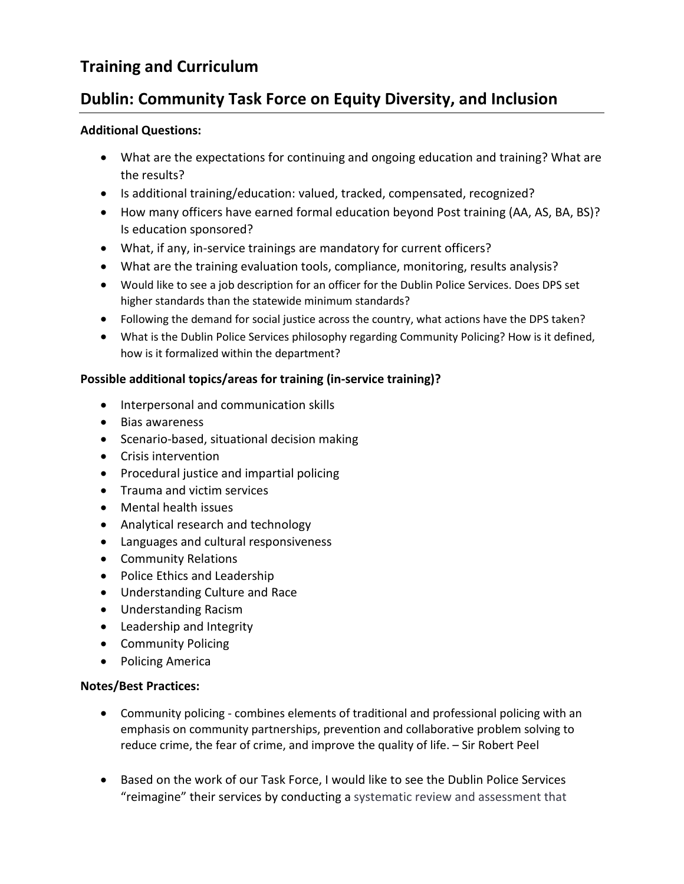# **Training and Curriculum**

# **Dublin: Community Task Force on Equity Diversity, and Inclusion**

### **Additional Questions:**

- What are the expectations for continuing and ongoing education and training? What are the results?
- Is additional training/education: valued, tracked, compensated, recognized?
- How many officers have earned formal education beyond Post training (AA, AS, BA, BS)? Is education sponsored?
- What, if any, in-service trainings are mandatory for current officers?
- What are the training evaluation tools, compliance, monitoring, results analysis?
- Would like to see a job description for an officer for the Dublin Police Services. Does DPS set higher standards than the statewide minimum standards?
- Following the demand for social justice across the country, what actions have the DPS taken?
- What is the Dublin Police Services philosophy regarding Community Policing? How is it defined, how is it formalized within the department?

### **Possible additional topics/areas for training (in-service training)?**

- Interpersonal and communication skills
- Bias awareness
- Scenario-based, situational decision making
- Crisis intervention
- Procedural justice and impartial policing
- Trauma and victim services
- Mental health issues
- Analytical research and technology
- Languages and cultural responsiveness
- Community Relations
- Police Ethics and Leadership
- Understanding Culture and Race
- Understanding Racism
- Leadership and Integrity
- Community Policing
- Policing America

### **Notes/Best Practices:**

- Community policing combines elements of traditional and professional policing with an emphasis on community partnerships, prevention and collaborative problem solving to reduce crime, the fear of crime, and improve the quality of life. – Sir Robert Peel
- Based on the work of our Task Force, I would like to see the Dublin Police Services "reimagine" their services by conducting a systematic review and assessment that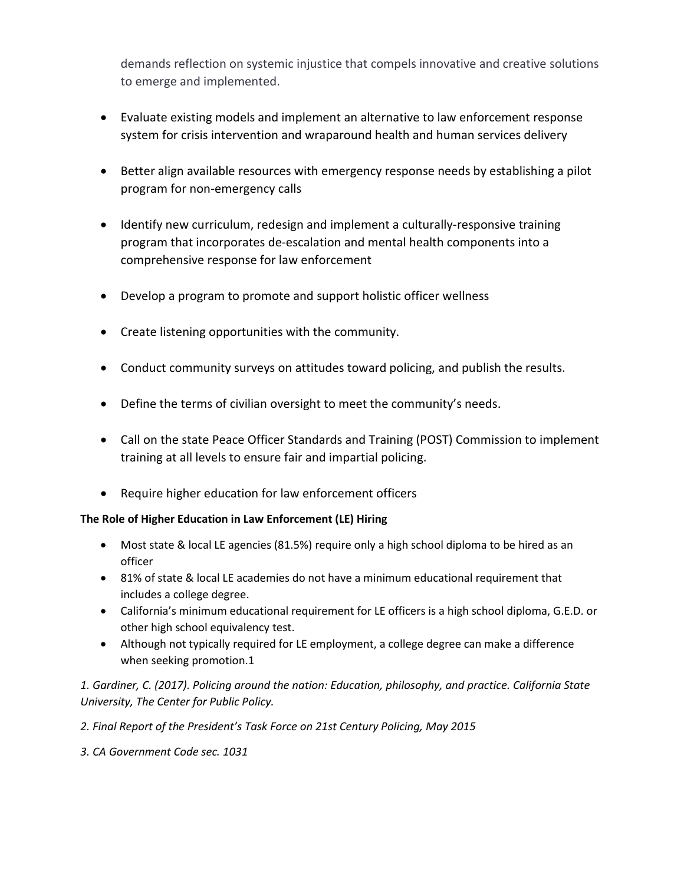demands reflection on systemic injustice that compels innovative and creative solutions to emerge and implemented.

- Evaluate existing models and implement an alternative to law enforcement response system for crisis intervention and wraparound health and human services delivery
- Better align available resources with emergency response needs by establishing a pilot program for non-emergency calls
- Identify new curriculum, redesign and implement a culturally-responsive training program that incorporates de-escalation and mental health components into a comprehensive response for law enforcement
- Develop a program to promote and support holistic officer wellness
- Create listening opportunities with the community.
- Conduct community surveys on attitudes toward policing, and publish the results.
- Define the terms of civilian oversight to meet the community's needs.
- Call on the state Peace Officer Standards and Training (POST) Commission to implement training at all levels to ensure fair and impartial policing.
- Require higher education for law enforcement officers

### **The Role of Higher Education in Law Enforcement (LE) Hiring**

- Most state & local LE agencies (81.5%) require only a high school diploma to be hired as an officer
- 81% of state & local LE academies do not have a minimum educational requirement that includes a college degree.
- California's minimum educational requirement for LE officers is a high school diploma, G.E.D. or other high school equivalency test.
- Although not typically required for LE employment, a college degree can make a difference when seeking promotion.1

*1. Gardiner, C. (2017). Policing around the nation: Education, philosophy, and practice. California State University, The Center for Public Policy.*

- *2. Final Report of the President's Task Force on 21st Century Policing, May 2015*
- *3. CA Government Code sec. 1031*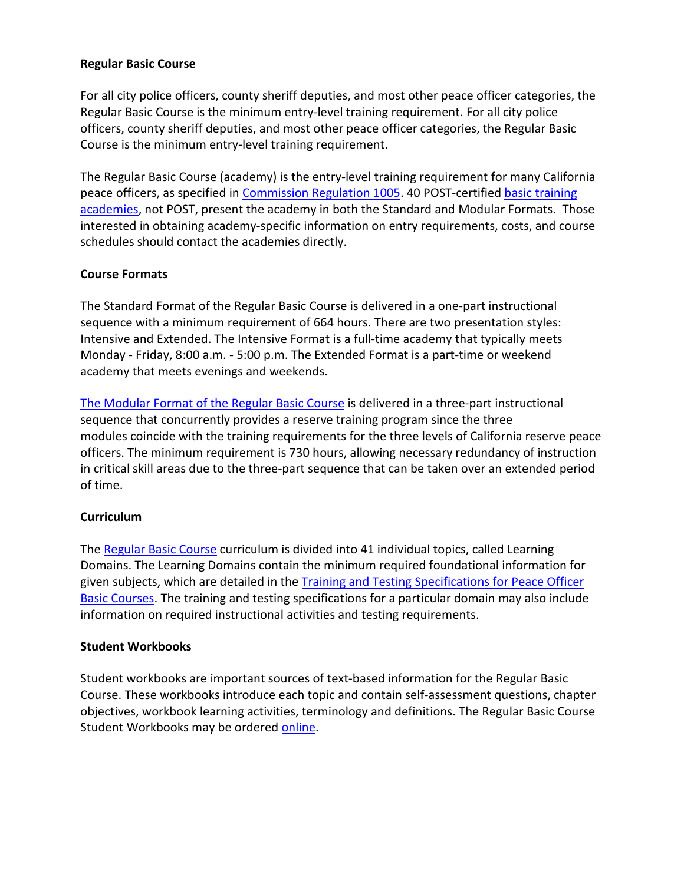### **Regular Basic Course**

For all city police officers, county sheriff deputies, and most other peace officer categories, the Regular Basic Course is the minimum entry-level training requirement. For all city police officers, county sheriff deputies, and most other peace officer categories, the Regular Basic Course is the minimum entry-level training requirement.

The Regular Basic Course (academy) is the entry-level training requirement for many California peace officers, as specified in Commission [Regulation 1005.](https://govt.westlaw.com/calregs/Document/I911816DDFC464FC6ADEFD780622C16CB?viewType=FullText&originationContext=documenttoc&transitionType=CategoryPageItem&contextData=(sc.Default)) 40 POST-certified [basic training](https://post.ca.gov/basic-training-academies)  [academies,](https://post.ca.gov/basic-training-academies) not POST, present the academy in both the Standard and Modular Formats. Those interested in obtaining academy-specific information on entry requirements, costs, and course schedules should contact the academies directly.

### **Course Formats**

The Standard Format of the Regular Basic Course is delivered in a one-part instructional sequence with a minimum requirement of 664 hours. There are two presentation styles: Intensive and Extended. The Intensive Format is a full-time academy that typically meets Monday - Friday, 8:00 a.m. - 5:00 p.m. The Extended Format is a part-time or weekend academy that meets evenings and weekends.

[The Modular Format of the Regular Basic Course](https://post.ca.gov/reserve-peace-officer-program-rpop) is delivered in a three-part instructional sequence that concurrently provides a reserve training program since the three modules coincide with the training requirements for the three levels of California reserve peace officers. The minimum requirement is 730 hours, allowing necessary redundancy of instruction in critical skill areas due to the three-part sequence that can be taken over an extended period of time.

### **Curriculum**

The [Regular Basic Course](https://post.ca.gov/regular-basic-course-training-specifications) curriculum is divided into 41 individual topics, called Learning Domains. The Learning Domains contain the minimum required foundational information for given subjects, which are detailed in the [Training and Testing Specifications for Peace Officer](https://post.ca.gov/training-and-testing-specifications-for-peace-officer-basic-courses)  [Basic Courses.](https://post.ca.gov/training-and-testing-specifications-for-peace-officer-basic-courses) The training and testing specifications for a particular domain may also include information on required instructional activities and testing requirements.

### **Student Workbooks**

Student workbooks are important sources of text-based information for the Regular Basic Course. These workbooks introduce each topic and contain self-assessment questions, chapter objectives, workbook learning activities, terminology and definitions. The Regular Basic Course Student Workbooks may be ordered [online.](https://docstore.fedex.com/post_ca)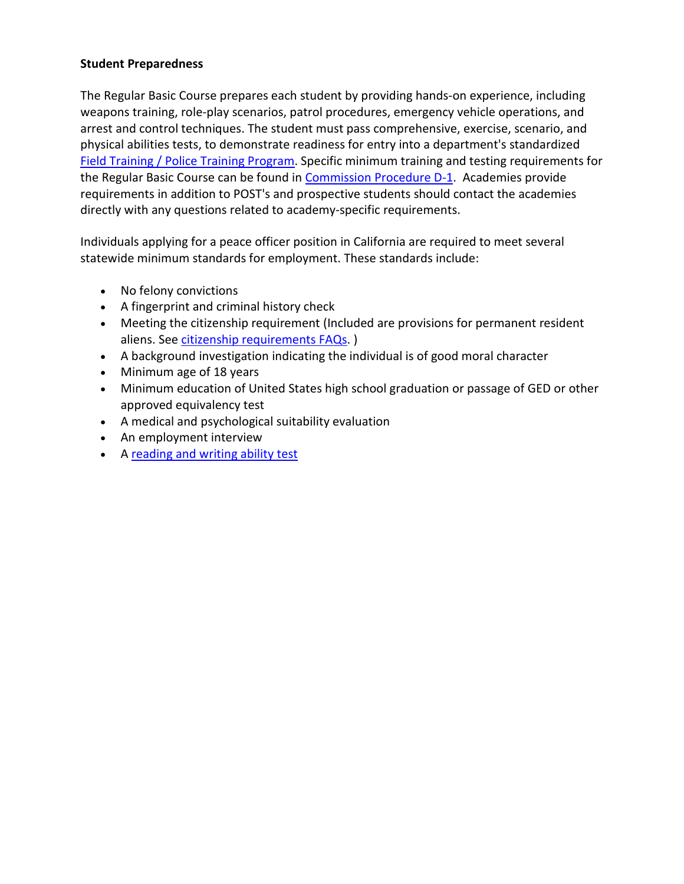### **Student Preparedness**

The Regular Basic Course prepares each student by providing hands-on experience, including weapons training, role-play scenarios, patrol procedures, emergency vehicle operations, and arrest and control techniques. The student must pass comprehensive, exercise, scenario, and physical abilities tests, to demonstrate readiness for entry into a department's standardized [Field Training / Police Training Program.](https://post.ca.gov/field-training--police-training) Specific minimum training and testing requirements for the Regular Basic Course can be found in **Commission Procedure D-1**. Academies provide requirements in addition to POST's and prospective students should contact the academies directly with any questions related to academy-specific requirements.

Individuals applying for a peace officer position in California are required to meet several statewide minimum standards for employment. These standards include:

- No felony convictions
- A fingerprint and criminal history check
- Meeting the citizenship requirement (Included are provisions for permanent resident aliens. See [citizenship requirements FAQs.](https://post.ca.gov/Peace-Officer-Citizenship-Requirements-FAQs) )
- A background investigation indicating the individual is of good moral character
- Minimum age of 18 years
- Minimum education of United States high school graduation or passage of GED or other approved equivalency test
- A medical and psychological suitability evaluation
- An employment interview
- A [reading and writing ability test](https://post.ca.gov/LE-Entry-Level-Test-Battery-Applicant-FAQs)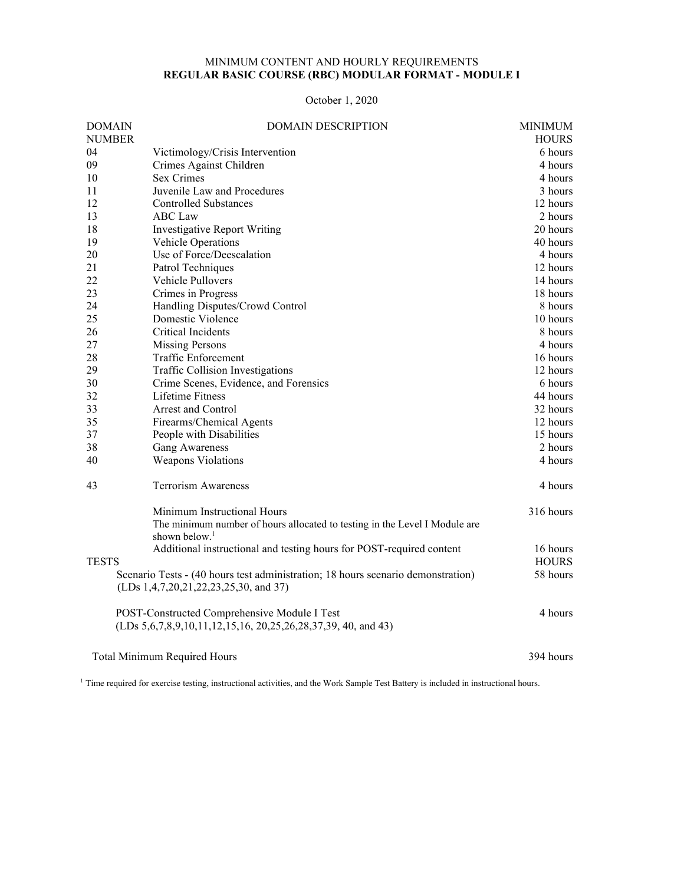#### MINIMUM CONTENT AND HOURLY REQUIREMENTS **REGULAR BASIC COURSE (RBC) MODULAR FORMAT - MODULE I**

October 1, 2020

| <b>DOMAIN</b> | <b>DOMAIN DESCRIPTION</b>                                                                                                 | <b>MINIMUM</b> |
|---------------|---------------------------------------------------------------------------------------------------------------------------|----------------|
| <b>NUMBER</b> |                                                                                                                           | <b>HOURS</b>   |
| 04            | Victimology/Crisis Intervention                                                                                           | 6 hours        |
| 09            | Crimes Against Children                                                                                                   | 4 hours        |
| 10            | <b>Sex Crimes</b>                                                                                                         | 4 hours        |
| 11            | Juvenile Law and Procedures                                                                                               | 3 hours        |
| 12            | <b>Controlled Substances</b>                                                                                              | 12 hours       |
| 13            | <b>ABC</b> Law                                                                                                            | 2 hours        |
| 18            | Investigative Report Writing                                                                                              | 20 hours       |
| 19            | Vehicle Operations                                                                                                        | 40 hours       |
| 20            | Use of Force/Deescalation                                                                                                 | 4 hours        |
| 21            | Patrol Techniques                                                                                                         | 12 hours       |
| 22            | Vehicle Pullovers                                                                                                         | 14 hours       |
| 23            | Crimes in Progress                                                                                                        | 18 hours       |
| 24            | Handling Disputes/Crowd Control                                                                                           | 8 hours        |
| 25            | Domestic Violence                                                                                                         | 10 hours       |
| 26            | Critical Incidents                                                                                                        | 8 hours        |
| 27            | <b>Missing Persons</b>                                                                                                    | 4 hours        |
| 28            | Traffic Enforcement                                                                                                       | 16 hours       |
| 29            | <b>Traffic Collision Investigations</b>                                                                                   | 12 hours       |
| 30            | Crime Scenes, Evidence, and Forensics                                                                                     | 6 hours        |
| 32            | Lifetime Fitness                                                                                                          | 44 hours       |
| 33            | <b>Arrest and Control</b>                                                                                                 | 32 hours       |
| 35            | Firearms/Chemical Agents                                                                                                  | 12 hours       |
| 37            | People with Disabilities                                                                                                  | 15 hours       |
| 38            | <b>Gang Awareness</b>                                                                                                     | 2 hours        |
| 40            | Weapons Violations                                                                                                        | 4 hours        |
| 43            | <b>Terrorism Awareness</b>                                                                                                | 4 hours        |
|               | Minimum Instructional Hours                                                                                               | 316 hours      |
|               | The minimum number of hours allocated to testing in the Level I Module are                                                |                |
|               | shown below. <sup>1</sup>                                                                                                 |                |
|               | Additional instructional and testing hours for POST-required content                                                      | 16 hours       |
| <b>TESTS</b>  |                                                                                                                           | <b>HOURS</b>   |
|               | Scenario Tests - (40 hours test administration; 18 hours scenario demonstration)<br>(LDs 1,4,7,20,21,22,23,25,30, and 37) | 58 hours       |
|               | POST-Constructed Comprehensive Module I Test                                                                              | 4 hours        |
|               |                                                                                                                           |                |
|               | <b>Total Minimum Required Hours</b>                                                                                       | 394 hours      |

<sup>1</sup> Time required for exercise testing, instructional activities, and the Work Sample Test Battery is included in instructional hours.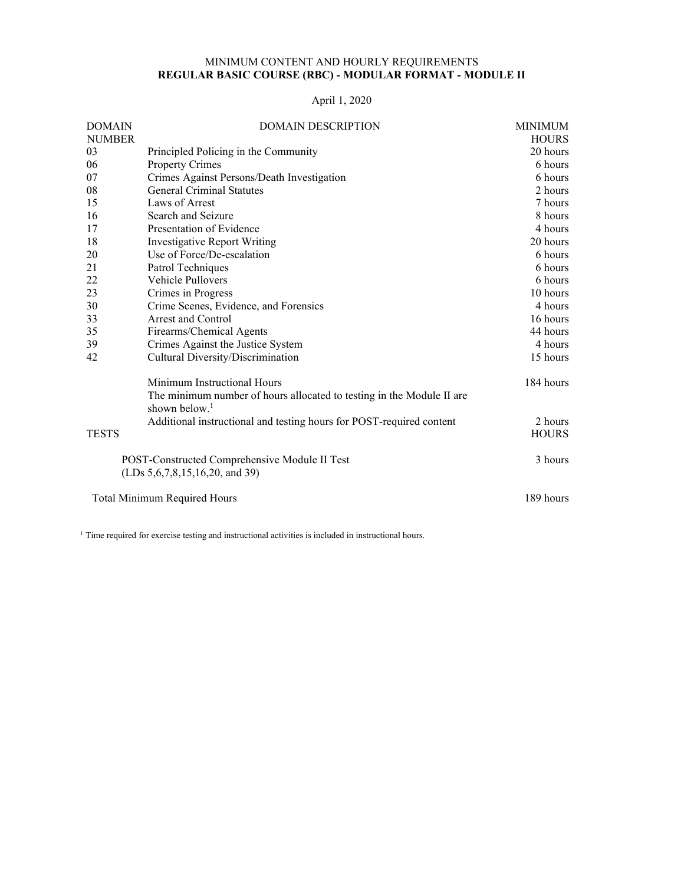#### MINIMUM CONTENT AND HOURLY REQUIREMENTS **REGULAR BASIC COURSE (RBC) - MODULAR FORMAT - MODULE II**

### April 1, 2020

| <b>DOMAIN</b>                       | <b>DOMAIN DESCRIPTION</b>                                             | <b>MINIMUM</b> |
|-------------------------------------|-----------------------------------------------------------------------|----------------|
| <b>NUMBER</b>                       |                                                                       | <b>HOURS</b>   |
| 03                                  | Principled Policing in the Community                                  | 20 hours       |
| 06                                  | Property Crimes                                                       | 6 hours        |
| 07                                  | Crimes Against Persons/Death Investigation                            | 6 hours        |
| 08                                  | <b>General Criminal Statutes</b>                                      | 2 hours        |
| 15                                  | Laws of Arrest                                                        | 7 hours        |
| 16                                  | Search and Seizure                                                    | 8 hours        |
| 17                                  | Presentation of Evidence                                              | 4 hours        |
| 18                                  | Investigative Report Writing                                          | 20 hours       |
| 20                                  | Use of Force/De-escalation                                            | 6 hours        |
| 21                                  | Patrol Techniques                                                     | 6 hours        |
| 22                                  | Vehicle Pullovers                                                     | 6 hours        |
| 23                                  | Crimes in Progress                                                    | 10 hours       |
| 30                                  | Crime Scenes, Evidence, and Forensics                                 | 4 hours        |
| 33                                  | Arrest and Control                                                    | 16 hours       |
| 35                                  | Firearms/Chemical Agents                                              | 44 hours       |
| 39                                  | Crimes Against the Justice System                                     | 4 hours        |
| 42                                  | Cultural Diversity/Discrimination                                     | 15 hours       |
|                                     | Minimum Instructional Hours                                           | 184 hours      |
|                                     | The minimum number of hours allocated to testing in the Module II are |                |
|                                     | shown below. $1$                                                      |                |
|                                     | Additional instructional and testing hours for POST-required content  | 2 hours        |
| <b>TESTS</b>                        |                                                                       | <b>HOURS</b>   |
|                                     | POST-Constructed Comprehensive Module II Test                         | 3 hours        |
|                                     | (LDs 5, 6, 7, 8, 15, 16, 20, and 39)                                  |                |
| <b>Total Minimum Required Hours</b> | 189 hours                                                             |                |

<sup>1</sup> Time required for exercise testing and instructional activities is included in instructional hours.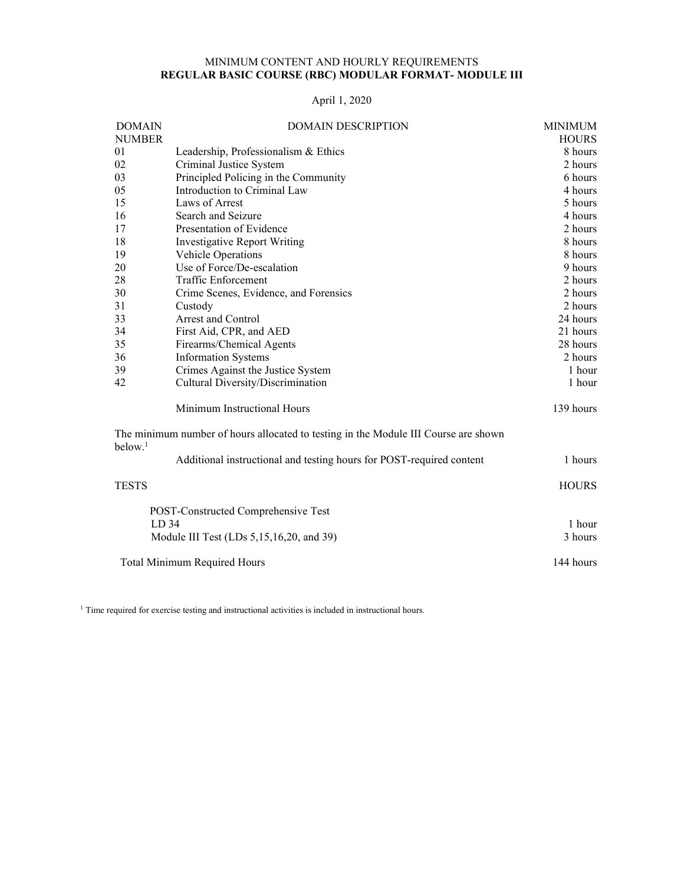#### MINIMUM CONTENT AND HOURLY REQUIREMENTS **REGULAR BASIC COURSE (RBC) MODULAR FORMAT- MODULE III**

### April 1, 2020

| <b>DOMAIN</b>                            | <b>DOMAIN DESCRIPTION</b>                                                           |              |  |  |  |  |
|------------------------------------------|-------------------------------------------------------------------------------------|--------------|--|--|--|--|
| <b>NUMBER</b>                            |                                                                                     |              |  |  |  |  |
| 01                                       | Leadership, Professionalism & Ethics                                                | 8 hours      |  |  |  |  |
| 02                                       | Criminal Justice System                                                             |              |  |  |  |  |
| 03                                       | Principled Policing in the Community                                                | 6 hours      |  |  |  |  |
| 05                                       | Introduction to Criminal Law                                                        | 4 hours      |  |  |  |  |
| 15                                       | Laws of Arrest                                                                      | 5 hours      |  |  |  |  |
| 16                                       | Search and Seizure                                                                  | 4 hours      |  |  |  |  |
| 17                                       | Presentation of Evidence                                                            | 2 hours      |  |  |  |  |
| 18                                       | <b>Investigative Report Writing</b>                                                 | 8 hours      |  |  |  |  |
| 19                                       | Vehicle Operations                                                                  | 8 hours      |  |  |  |  |
| 20                                       | Use of Force/De-escalation                                                          | 9 hours      |  |  |  |  |
| 28                                       | <b>Traffic Enforcement</b>                                                          | 2 hours      |  |  |  |  |
| 30                                       | Crime Scenes, Evidence, and Forensics                                               | 2 hours      |  |  |  |  |
| 31                                       | Custody                                                                             | 2 hours      |  |  |  |  |
| 33                                       | <b>Arrest and Control</b>                                                           | 24 hours     |  |  |  |  |
| 34                                       | First Aid, CPR, and AED                                                             | 21 hours     |  |  |  |  |
| 35                                       | Firearms/Chemical Agents                                                            | 28 hours     |  |  |  |  |
| 36                                       | <b>Information Systems</b>                                                          | 2 hours      |  |  |  |  |
| 39                                       | Crimes Against the Justice System                                                   | 1 hour       |  |  |  |  |
| 42                                       | Cultural Diversity/Discrimination                                                   | 1 hour       |  |  |  |  |
|                                          | Minimum Instructional Hours                                                         | 139 hours    |  |  |  |  |
| below. <sup>1</sup>                      | The minimum number of hours allocated to testing in the Module III Course are shown |              |  |  |  |  |
|                                          | Additional instructional and testing hours for POST-required content                | 1 hours      |  |  |  |  |
| <b>TESTS</b>                             |                                                                                     | <b>HOURS</b> |  |  |  |  |
|                                          | POST-Constructed Comprehensive Test                                                 |              |  |  |  |  |
| LD <sub>34</sub>                         | 1 hour                                                                              |              |  |  |  |  |
| Module III Test (LDs 5,15,16,20, and 39) | 3 hours                                                                             |              |  |  |  |  |
| <b>Total Minimum Required Hours</b>      |                                                                                     |              |  |  |  |  |

<sup>1</sup> Time required for exercise testing and instructional activities is included in instructional hours.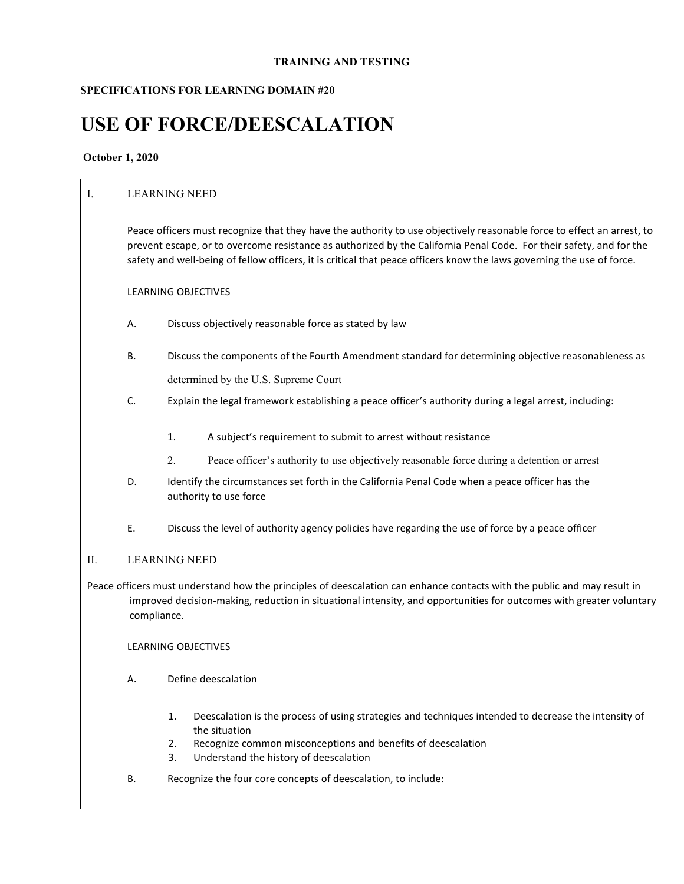#### **TRAINING AND TESTING**

### **SPECIFICATIONS FOR LEARNING DOMAIN #20**

# **USE OF FORCE/DEESCALATION**

#### **October 1, 2020**

### I. LEARNING NEED

Peace officers must recognize that they have the authority to use objectively reasonable force to effect an arrest, to prevent escape, or to overcome resistance as authorized by the California Penal Code. For their safety, and for the safety and well-being of fellow officers, it is critical that peace officers know the laws governing the use of force.

#### LEARNING OBJECTIVES

- A. Discuss objectively reasonable force as stated by law
- B. Discuss the components of the Fourth Amendment standard for determining objective reasonableness as determined by the U.S. Supreme Court
- C. Explain the legal framework establishing a peace officer's authority during a legal arrest, including:
	- 1. A subject's requirement to submit to arrest without resistance
	- 2. Peace officer's authority to use objectively reasonable force during a detention or arrest
- D. Identify the circumstances set forth in the California Penal Code when a peace officer has the authority to use force
- E. Discuss the level of authority agency policies have regarding the use of force by a peace officer

#### II. LEARNING NEED

Peace officers must understand how the principles of deescalation can enhance contacts with the public and may result in improved decision-making, reduction in situational intensity, and opportunities for outcomes with greater voluntary compliance.

- A. Define deescalation
	- 1. Deescalation is the process of using strategies and techniques intended to decrease the intensity of the situation
	- 2. Recognize common misconceptions and benefits of deescalation
	- 3. Understand the history of deescalation
- B. Recognize the four core concepts of deescalation, to include: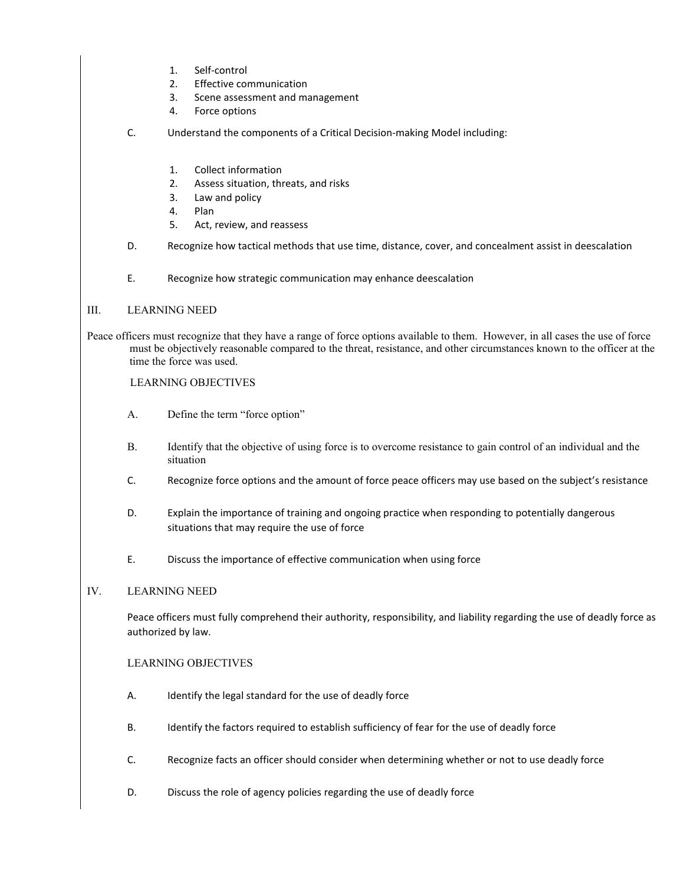- 1. Self-control
- 2. Effective communication
- 3. Scene assessment and management
- 4. Force options
- C. Understand the components of a Critical Decision-making Model including:
	- 1. Collect information
	- 2. Assess situation, threats, and risks
	- 3. Law and policy
	- 4. Plan
	- 5. Act, review, and reassess
- D. Recognize how tactical methods that use time, distance, cover, and concealment assist in deescalation
- E. Recognize how strategic communication may enhance deescalation

#### III. LEARNING NEED

Peace officers must recognize that they have a range of force options available to them. However, in all cases the use of force must be objectively reasonable compared to the threat, resistance, and other circumstances known to the officer at the time the force was used.

#### LEARNING OBJECTIVES

- A. Define the term "force option"
- B. Identify that the objective of using force is to overcome resistance to gain control of an individual and the situation
- C. Recognize force options and the amount of force peace officers may use based on the subject's resistance
- D. Explain the importance of training and ongoing practice when responding to potentially dangerous situations that may require the use of force
- E. Discuss the importance of effective communication when using force

#### IV. LEARNING NEED

Peace officers must fully comprehend their authority, responsibility, and liability regarding the use of deadly force as authorized by law.

- A. Identify the legal standard for the use of deadly force
- B. Identify the factors required to establish sufficiency of fear for the use of deadly force
- C. Recognize facts an officer should consider when determining whether or not to use deadly force
- D. Discuss the role of agency policies regarding the use of deadly force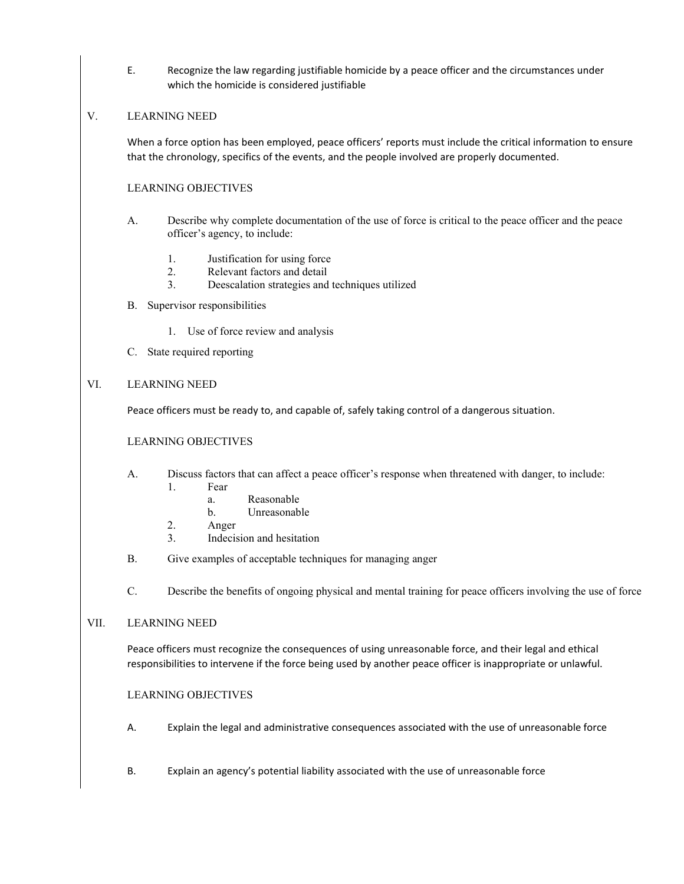E. Recognize the law regarding justifiable homicide by a peace officer and the circumstances under which the homicide is considered justifiable

#### V. LEARNING NEED

When a force option has been employed, peace officers' reports must include the critical information to ensure that the chronology, specifics of the events, and the people involved are properly documented.

#### LEARNING OBJECTIVES

- A. Describe why complete documentation of the use of force is critical to the peace officer and the peace officer's agency, to include:
	- 1. Justification for using force
	- 2. Relevant factors and detail
	- 3. Deescalation strategies and techniques utilized
- B. Supervisor responsibilities
	- 1. Use of force review and analysis
- C. State required reporting

#### VI. LEARNING NEED

Peace officers must be ready to, and capable of, safely taking control of a dangerous situation.

#### LEARNING OBJECTIVES

- A. Discuss factors that can affect a peace officer's response when threatened with danger, to include:
	- 1. Fear
		- a. Reasonable
		- b. Unreasonable
	- 2. Anger
	- 3. Indecision and hesitation
- B. Give examples of acceptable techniques for managing anger
- C. Describe the benefits of ongoing physical and mental training for peace officers involving the use of force

#### VII. LEARNING NEED

Peace officers must recognize the consequences of using unreasonable force, and their legal and ethical responsibilities to intervene if the force being used by another peace officer is inappropriate or unlawful.

- A. Explain the legal and administrative consequences associated with the use of unreasonable force
- B. Explain an agency's potential liability associated with the use of unreasonable force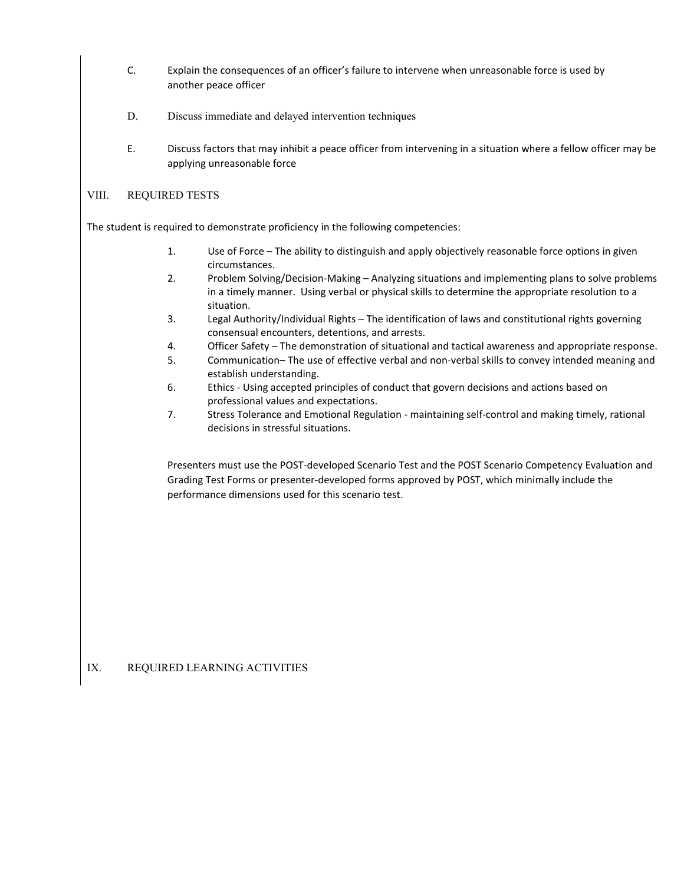- C. Explain the consequences of an officer's failure to intervene when unreasonable force is used by another peace officer
- D. Discuss immediate and delayed intervention techniques
- E. Discuss factors that may inhibit a peace officer from intervening in a situation where a fellow officer may be applying unreasonable force

#### VIII. REQUIRED TESTS

The student is required to demonstrate proficiency in the following competencies:

- 1. Use of Force The ability to distinguish and apply objectively reasonable force options in given circumstances.
- 2. Problem Solving/Decision-Making Analyzing situations and implementing plans to solve problems in a timely manner. Using verbal or physical skills to determine the appropriate resolution to a situation.
- 3. Legal Authority/Individual Rights The identification of laws and constitutional rights governing consensual encounters, detentions, and arrests.
- 4. Officer Safety The demonstration of situational and tactical awareness and appropriate response.
- 5. Communication– The use of effective verbal and non-verbal skills to convey intended meaning and establish understanding.
- 6. Ethics Using accepted principles of conduct that govern decisions and actions based on professional values and expectations.
- 7. Stress Tolerance and Emotional Regulation maintaining self-control and making timely, rational decisions in stressful situations.

Presenters must use the POST-developed Scenario Test and the POST Scenario Competency Evaluation and Grading Test Forms or presenter-developed forms approved by POST, which minimally include the performance dimensions used for this scenario test.

### IX. REQUIRED LEARNING ACTIVITIES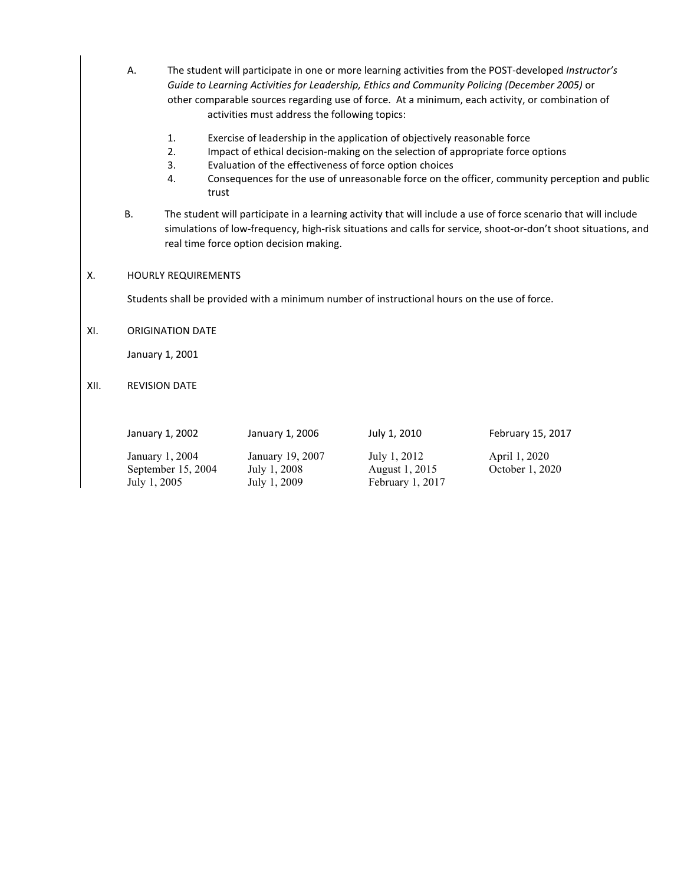- A. The student will participate in one or more learning activities from the POST-developed *Instructor's Guide to Learning Activities for Leadership, Ethics and Community Policing (December 2005)* or other comparable sources regarding use of force. At a minimum, each activity, or combination of activities must address the following topics:
	- 1. Exercise of leadership in the application of objectively reasonable force
	- 2. Impact of ethical decision-making on the selection of appropriate force options
	- 3. Evaluation of the effectiveness of force option choices
	- 4. Consequences for the use of unreasonable force on the officer, community perception and public trust
- B. The student will participate in a learning activity that will include a use of force scenario that will include simulations of low-frequency, high-risk situations and calls for service, shoot-or-don't shoot situations, and real time force option decision making.

#### X. HOURLY REQUIREMENTS

Students shall be provided with a minimum number of instructional hours on the use of force.

XI. ORIGINATION DATE

January 1, 2001

XII. REVISION DATE

January 1, 2004 January 19, 2007 July 1, 2012 April 1, 2020 September 15, 2004 July 1, 2008 August 1, 2015 October 1, 2020<br>July 1, 2005 July 1, 2009 February 1, 2017

February 1, 2017

January 1, 2002 January 1, 2006 July 1, 2010 February 15, 2017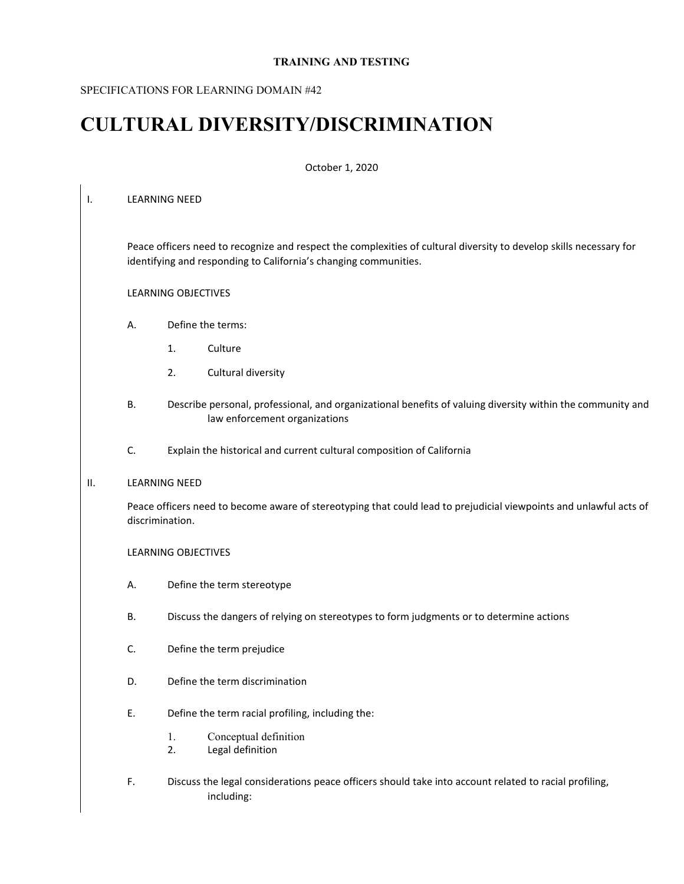#### **TRAINING AND TESTING**

#### SPECIFICATIONS FOR LEARNING DOMAIN #42

# **CULTURAL DIVERSITY/DISCRIMINATION**

#### October 1, 2020

#### I. LEARNING NEED

Peace officers need to recognize and respect the complexities of cultural diversity to develop skills necessary for identifying and responding to California's changing communities.

#### LEARNING OBJECTIVES

- A. Define the terms:
	- 1. Culture
	- 2. Cultural diversity
- B. Describe personal, professional, and organizational benefits of valuing diversity within the community and law enforcement organizations
- C. Explain the historical and current cultural composition of California

#### II. LEARNING NEED

Peace officers need to become aware of stereotyping that could lead to prejudicial viewpoints and unlawful acts of discrimination.

- A. Define the term stereotype
- B. Discuss the dangers of relying on stereotypes to form judgments or to determine actions
- C. Define the term prejudice
- D. Define the term discrimination
- E. Define the term racial profiling, including the:
	- 1. Conceptual definition
	- 2. Legal definition
- F. Discuss the legal considerations peace officers should take into account related to racial profiling, including: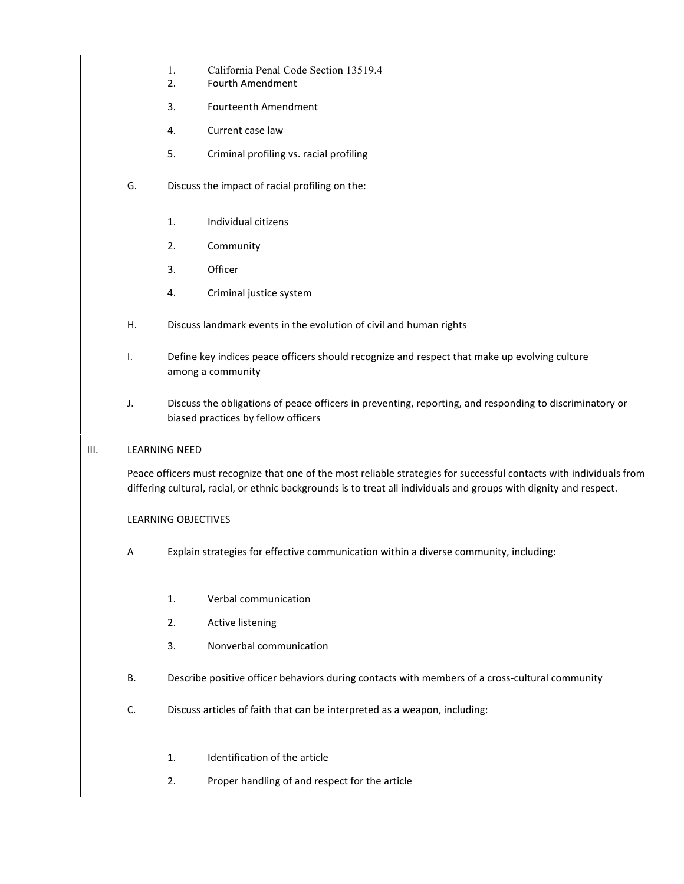- 1. California Penal Code Section 13519.4
- 2. Fourth Amendment
- 3. Fourteenth Amendment
- 4. Current case law
- 5. Criminal profiling vs. racial profiling
- G. Discuss the impact of racial profiling on the:
	- 1. Individual citizens
	- 2. Community
	- 3. Officer
	- 4. Criminal justice system
- H. Discuss landmark events in the evolution of civil and human rights
- I. Define key indices peace officers should recognize and respect that make up evolving culture among a community
- J. Discuss the obligations of peace officers in preventing, reporting, and responding to discriminatory or biased practices by fellow officers
- III. LEARNING NEED

Peace officers must recognize that one of the most reliable strategies for successful contacts with individuals from differing cultural, racial, or ethnic backgrounds is to treat all individuals and groups with dignity and respect.

- A Explain strategies for effective communication within a diverse community, including:
	- 1. Verbal communication
	- 2. Active listening
	- 3. Nonverbal communication
- B. Describe positive officer behaviors during contacts with members of a cross-cultural community
- C. Discuss articles of faith that can be interpreted as a weapon, including:
	- 1. Identification of the article
	- 2. Proper handling of and respect for the article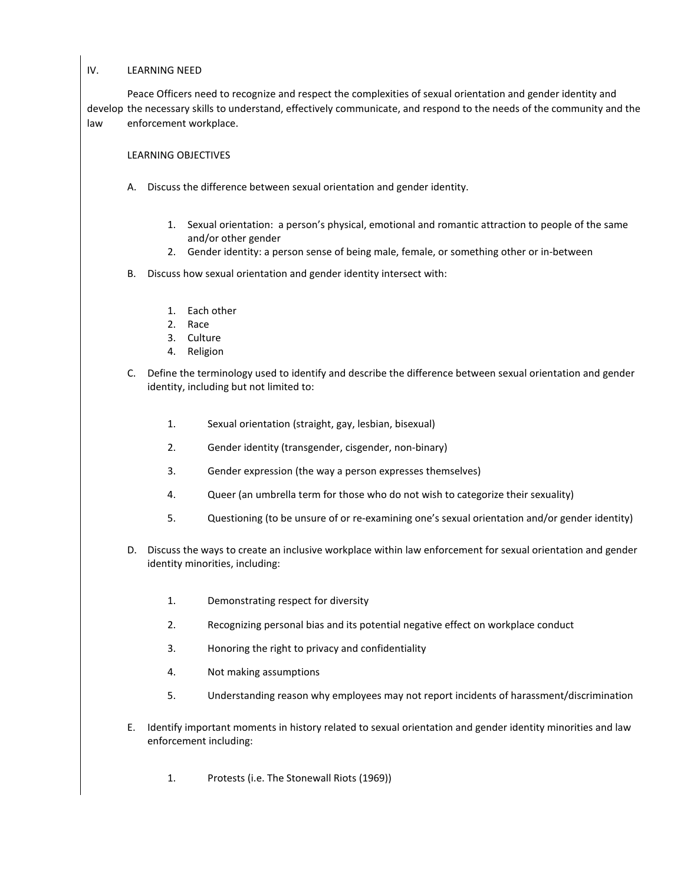#### IV. LEARNING NEED

Peace Officers need to recognize and respect the complexities of sexual orientation and gender identity and develop the necessary skills to understand, effectively communicate, and respond to the needs of the community and the law enforcement workplace.

- A. Discuss the difference between sexual orientation and gender identity.
	- 1. Sexual orientation: a person's physical, emotional and romantic attraction to people of the same and/or other gender
	- 2. Gender identity: a person sense of being male, female, or something other or in-between
- B. Discuss how sexual orientation and gender identity intersect with:
	- 1. Each other
	- 2. Race
	- 3. Culture
	- 4. Religion
- C. Define the terminology used to identify and describe the difference between sexual orientation and gender identity, including but not limited to:
	- 1. Sexual orientation (straight, gay, lesbian, bisexual)
	- 2. Gender identity (transgender, cisgender, non-binary)
	- 3. Gender expression (the way a person expresses themselves)
	- 4. Queer (an umbrella term for those who do not wish to categorize their sexuality)
	- 5. Questioning (to be unsure of or re-examining one's sexual orientation and/or gender identity)
- D. Discuss the ways to create an inclusive workplace within law enforcement for sexual orientation and gender identity minorities, including:
	- 1. Demonstrating respect for diversity
	- 2. Recognizing personal bias and its potential negative effect on workplace conduct
	- 3. Honoring the right to privacy and confidentiality
	- 4. Not making assumptions
	- 5. Understanding reason why employees may not report incidents of harassment/discrimination
- E. Identify important moments in history related to sexual orientation and gender identity minorities and law enforcement including:
	- 1. Protests (i.e. The Stonewall Riots (1969))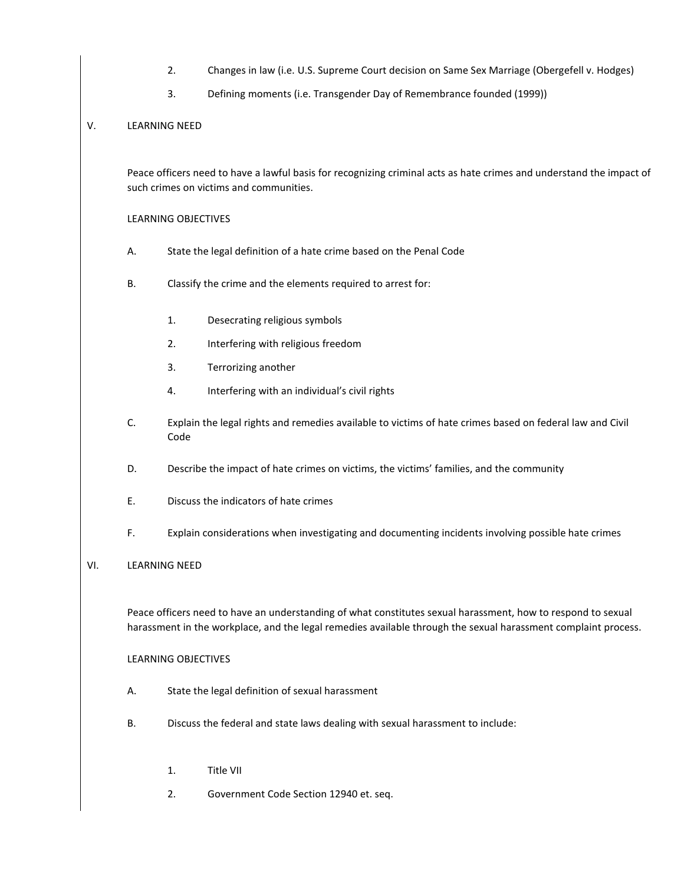- 2. Changes in law (i.e. U.S. Supreme Court decision on Same Sex Marriage (Obergefell v. Hodges)
- 3. Defining moments (i.e. Transgender Day of Remembrance founded (1999))

#### V. LEARNING NEED

Peace officers need to have a lawful basis for recognizing criminal acts as hate crimes and understand the impact of such crimes on victims and communities.

#### LEARNING OBJECTIVES

- A. State the legal definition of a hate crime based on the Penal Code
- B. Classify the crime and the elements required to arrest for:
	- 1. Desecrating religious symbols
	- 2. Interfering with religious freedom
	- 3. Terrorizing another
	- 4. Interfering with an individual's civil rights
- C. Explain the legal rights and remedies available to victims of hate crimes based on federal law and Civil Code
- D. Describe the impact of hate crimes on victims, the victims' families, and the community
- E. Discuss the indicators of hate crimes
- F. Explain considerations when investigating and documenting incidents involving possible hate crimes

#### VI. LEARNING NEED

Peace officers need to have an understanding of what constitutes sexual harassment, how to respond to sexual harassment in the workplace, and the legal remedies available through the sexual harassment complaint process.

- A. State the legal definition of sexual harassment
- B. Discuss the federal and state laws dealing with sexual harassment to include:
	- 1. Title VII
	- 2. Government Code Section 12940 et. seq.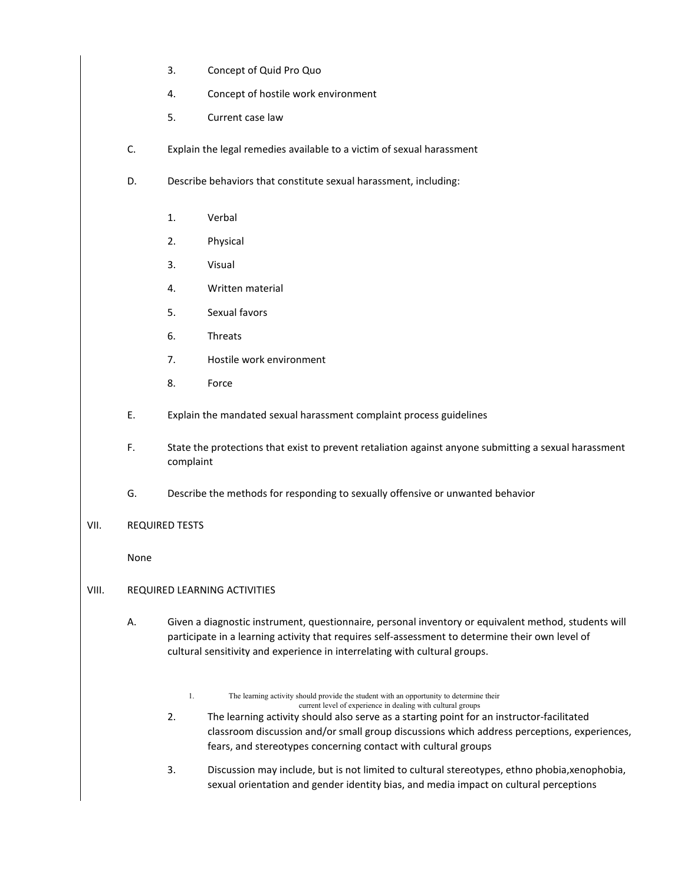- 3. Concept of Quid Pro Quo
- 4. Concept of hostile work environment
- 5. Current case law
- C. Explain the legal remedies available to a victim of sexual harassment
- D. Describe behaviors that constitute sexual harassment, including:
	- 1. Verbal
	- 2. Physical
	- 3. Visual
	- 4. Written material
	- 5. Sexual favors
	- 6. Threats
	- 7. Hostile work environment
	- 8. Force
- E. Explain the mandated sexual harassment complaint process guidelines
- F. State the protections that exist to prevent retaliation against anyone submitting a sexual harassment complaint
- G. Describe the methods for responding to sexually offensive or unwanted behavior

#### VII. REQUIRED TESTS

None

#### VIII. REQUIRED LEARNING ACTIVITIES

- A. Given a diagnostic instrument, questionnaire, personal inventory or equivalent method, students will participate in a learning activity that requires self-assessment to determine their own level of cultural sensitivity and experience in interrelating with cultural groups.
	- 1. The learning activity should provide the student with an opportunity to determine their current level of experience in dealing with cultural groups
	- 2. The learning activity should also serve as a starting point for an instructor-facilitated classroom discussion and/or small group discussions which address perceptions, experiences, fears, and stereotypes concerning contact with cultural groups
	- 3. Discussion may include, but is not limited to cultural stereotypes, ethno phobia,xenophobia, sexual orientation and gender identity bias, and media impact on cultural perceptions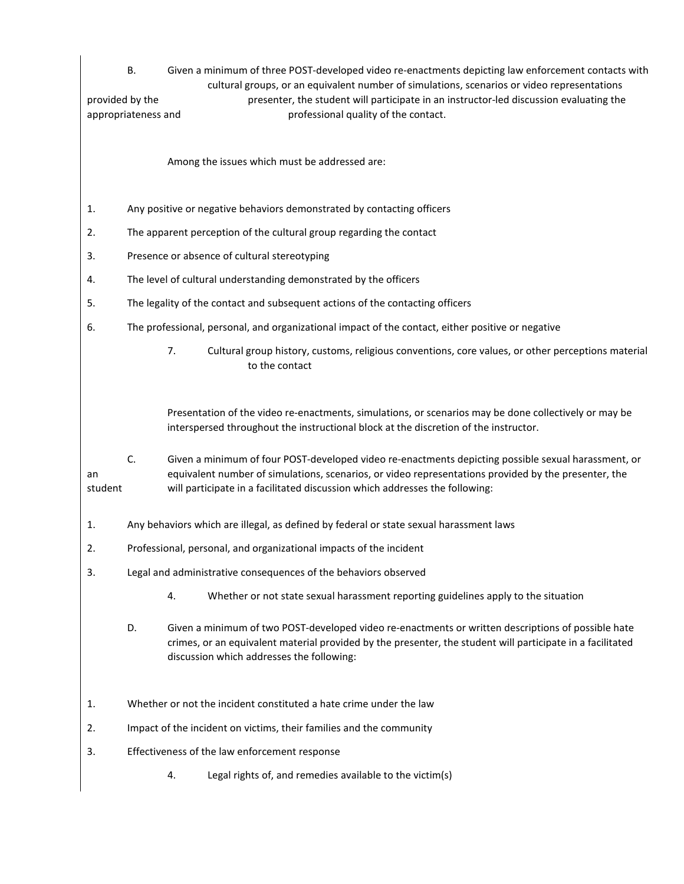| provided by the | В.<br>Given a minimum of three POST-developed video re-enactments depicting law enforcement contacts with<br>cultural groups, or an equivalent number of simulations, scenarios or video representations<br>presenter, the student will participate in an instructor-led discussion evaluating the<br>professional quality of the contact.<br>appropriateness and |  |
|-----------------|-------------------------------------------------------------------------------------------------------------------------------------------------------------------------------------------------------------------------------------------------------------------------------------------------------------------------------------------------------------------|--|
|                 | Among the issues which must be addressed are:                                                                                                                                                                                                                                                                                                                     |  |
| 1.              | Any positive or negative behaviors demonstrated by contacting officers                                                                                                                                                                                                                                                                                            |  |
| 2.              | The apparent perception of the cultural group regarding the contact                                                                                                                                                                                                                                                                                               |  |
| 3.              | Presence or absence of cultural stereotyping                                                                                                                                                                                                                                                                                                                      |  |
| 4.              | The level of cultural understanding demonstrated by the officers                                                                                                                                                                                                                                                                                                  |  |
| 5.              | The legality of the contact and subsequent actions of the contacting officers                                                                                                                                                                                                                                                                                     |  |
| 6.              | The professional, personal, and organizational impact of the contact, either positive or negative                                                                                                                                                                                                                                                                 |  |
|                 | 7.<br>Cultural group history, customs, religious conventions, core values, or other perceptions material<br>to the contact                                                                                                                                                                                                                                        |  |
|                 | Presentation of the video re-enactments, simulations, or scenarios may be done collectively or may be<br>interspersed throughout the instructional block at the discretion of the instructor.                                                                                                                                                                     |  |
| an<br>student   | C.<br>Given a minimum of four POST-developed video re-enactments depicting possible sexual harassment, or<br>equivalent number of simulations, scenarios, or video representations provided by the presenter, the<br>will participate in a facilitated discussion which addresses the following:                                                                  |  |
| 1.              | Any behaviors which are illegal, as defined by federal or state sexual harassment laws                                                                                                                                                                                                                                                                            |  |
| 2.              | Professional, personal, and organizational impacts of the incident                                                                                                                                                                                                                                                                                                |  |
| 3.              | Legal and administrative consequences of the behaviors observed                                                                                                                                                                                                                                                                                                   |  |
|                 | Whether or not state sexual harassment reporting guidelines apply to the situation<br>4.                                                                                                                                                                                                                                                                          |  |
|                 | D.<br>Given a minimum of two POST-developed video re-enactments or written descriptions of possible hate<br>crimes, or an equivalent material provided by the presenter, the student will participate in a facilitated<br>discussion which addresses the following:                                                                                               |  |
| 1.              | Whether or not the incident constituted a hate crime under the law                                                                                                                                                                                                                                                                                                |  |
| 2.              | Impact of the incident on victims, their families and the community                                                                                                                                                                                                                                                                                               |  |
| 3.              | Effectiveness of the law enforcement response                                                                                                                                                                                                                                                                                                                     |  |
|                 | Legal rights of, and remedies available to the victim(s)<br>4.                                                                                                                                                                                                                                                                                                    |  |